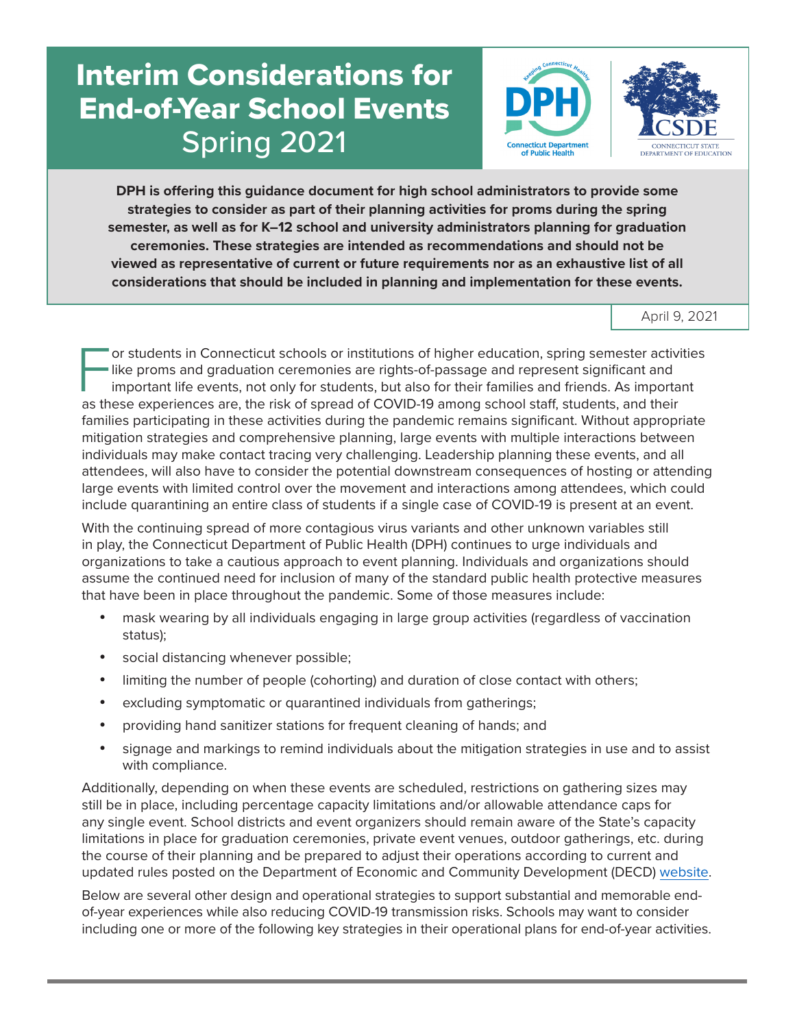# Interim Considerations for End-of-Year School Events Spring 2021





**DPH is offering this guidance document for high school administrators to provide some strategies to consider as part of their planning activities for proms during the spring semester, as well as for K–12 school and university administrators planning for graduation ceremonies. These strategies are intended as recommendations and should not be viewed as representative of current or future requirements nor as an exhaustive list of all considerations that should be included in planning and implementation for these events.**

April 9, 2021

For students in Connecticut schools or institutions of higher education, spring semester activities<br>like proms and graduation ceremonies are rights-of-passage and represent significant and<br>important life events, not only f like proms and graduation ceremonies are rights-of-passage and represent significant and important life events, not only for students, but also for their families and friends. As important as these experiences are, the risk of spread of COVID-19 among school staff, students, and their families participating in these activities during the pandemic remains significant. Without appropriate mitigation strategies and comprehensive planning, large events with multiple interactions between individuals may make contact tracing very challenging. Leadership planning these events, and all attendees, will also have to consider the potential downstream consequences of hosting or attending large events with limited control over the movement and interactions among attendees, which could include quarantining an entire class of students if a single case of COVID-19 is present at an event.

With the continuing spread of more contagious virus variants and other unknown variables still in play, the Connecticut Department of Public Health (DPH) continues to urge individuals and organizations to take a cautious approach to event planning. Individuals and organizations should assume the continued need for inclusion of many of the standard public health protective measures that have been in place throughout the pandemic. Some of those measures include:

- mask wearing by all individuals engaging in large group activities (regardless of vaccination status);
- social distancing whenever possible;
- limiting the number of people (cohorting) and duration of close contact with others;
- excluding symptomatic or quarantined individuals from gatherings;
- • providing hand sanitizer stations for frequent cleaning of hands; and
- • signage and markings to remind individuals about the mitigation strategies in use and to assist with compliance.

Additionally, depending on when these events are scheduled, restrictions on gathering sizes may still be in place, including percentage capacity limitations and/or allowable attendance caps for any single event. School districts and event organizers should remain aware of the State's capacity limitations in place for graduation ceremonies, private event venues, outdoor gatherings, etc. during the course of their planning and be prepared to adjust their operations according to current and updated rules posted on the Department of Economic and Community Development (DECD) [website.](https://portal.ct.gov/DECD/Content/Coronavirus-Business-Recovery/Sector-Rules-for-Reopen)

Below are several other design and operational strategies to support substantial and memorable endof-year experiences while also reducing COVID-19 transmission risks. Schools may want to consider including one or more of the following key strategies in their operational plans for end-of-year activities.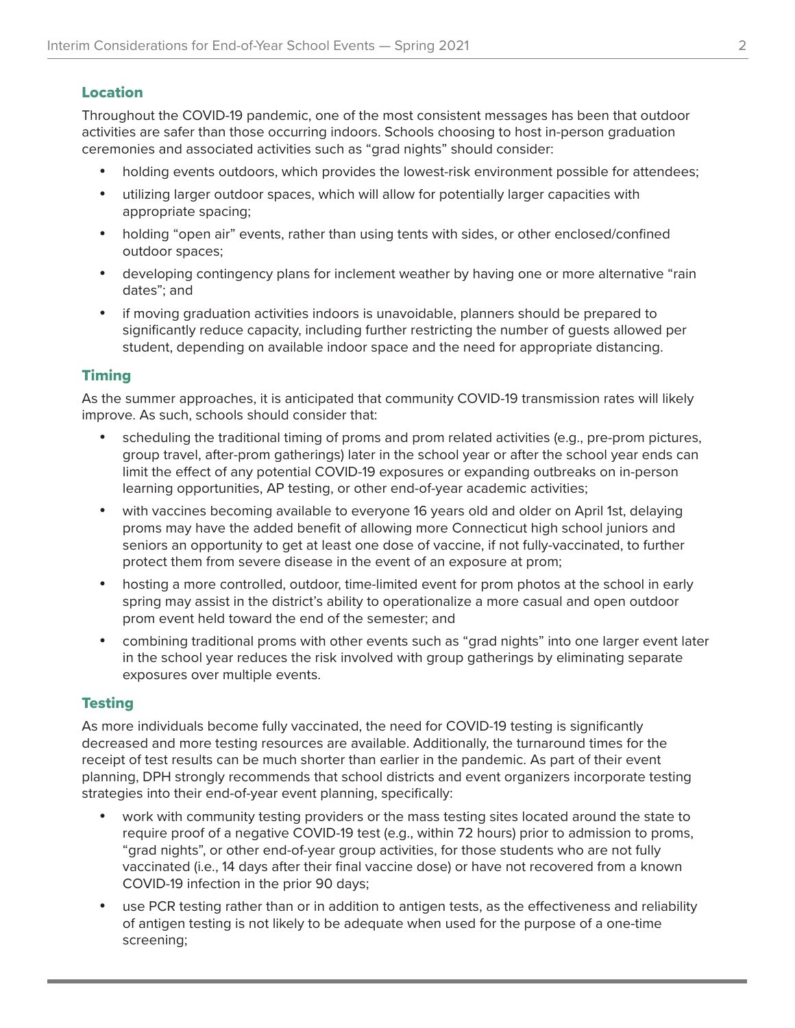## Location

Throughout the COVID-19 pandemic, one of the most consistent messages has been that outdoor activities are safer than those occurring indoors. Schools choosing to host in-person graduation ceremonies and associated activities such as "grad nights" should consider:

- holding events outdoors, which provides the lowest-risk environment possible for attendees;
- • utilizing larger outdoor spaces, which will allow for potentially larger capacities with appropriate spacing;
- holding "open air" events, rather than using tents with sides, or other enclosed/confined outdoor spaces;
- developing contingency plans for inclement weather by having one or more alternative "rain dates"; and
- if moving graduation activities indoors is unavoidable, planners should be prepared to significantly reduce capacity, including further restricting the number of guests allowed per student, depending on available indoor space and the need for appropriate distancing.

### **Timing**

As the summer approaches, it is anticipated that community COVID-19 transmission rates will likely improve. As such, schools should consider that:

- scheduling the traditional timing of proms and prom related activities (e.g., pre-prom pictures, group travel, after-prom gatherings) later in the school year or after the school year ends can limit the effect of any potential COVID-19 exposures or expanding outbreaks on in-person learning opportunities, AP testing, or other end-of-year academic activities;
- with vaccines becoming available to everyone 16 years old and older on April 1st, delaying proms may have the added benefit of allowing more Connecticut high school juniors and seniors an opportunity to get at least one dose of vaccine, if not fully-vaccinated, to further protect them from severe disease in the event of an exposure at prom;
- hosting a more controlled, outdoor, time-limited event for prom photos at the school in early spring may assist in the district's ability to operationalize a more casual and open outdoor prom event held toward the end of the semester; and
- • combining traditional proms with other events such as "grad nights" into one larger event later in the school year reduces the risk involved with group gatherings by eliminating separate exposures over multiple events.

## Testing

As more individuals become fully vaccinated, the need for COVID-19 testing is significantly decreased and more testing resources are available. Additionally, the turnaround times for the receipt of test results can be much shorter than earlier in the pandemic. As part of their event planning, DPH strongly recommends that school districts and event organizers incorporate testing strategies into their end-of-year event planning, specifically:

- work with community testing providers or the mass testing sites located around the state to require proof of a negative COVID-19 test (e.g., within 72 hours) prior to admission to proms, "grad nights", or other end-of-year group activities, for those students who are not fully vaccinated (i.e., 14 days after their final vaccine dose) or have not recovered from a known COVID-19 infection in the prior 90 days;
- use PCR testing rather than or in addition to antigen tests, as the effectiveness and reliability of antigen testing is not likely to be adequate when used for the purpose of a one-time screening;